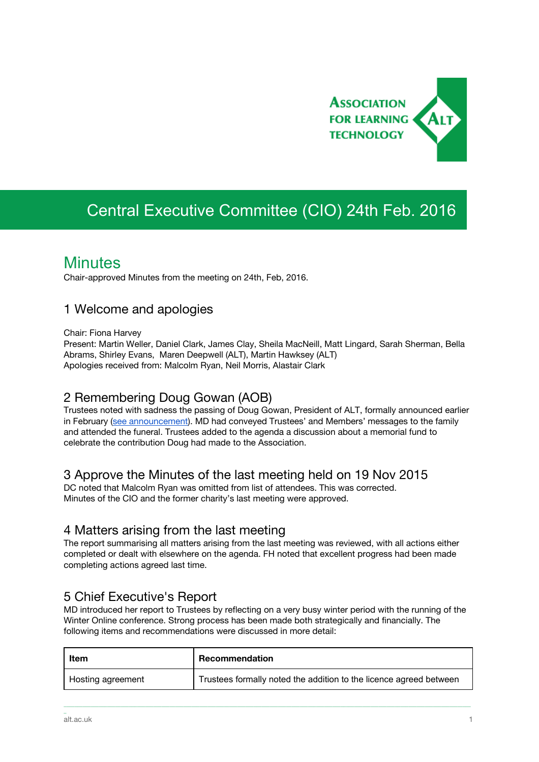

# Central Executive Committee (CIO) 24th Feb. 2016

# **Minutes**

Chair-approved Minutes from the meeting on 24th, Feb, 2016.

### 1 Welcome and apologies

Chair: Fiona Harvey

Present: Martin Weller, Daniel Clark, James Clay, Sheila MacNeill, Matt Lingard, Sarah Sherman, Bella Abrams, Shirley Evans, Maren Deepwell (ALT), Martin Hawksey (ALT) Apologies received from: Malcolm Ryan, Neil Morris, Alastair Clark

# 2 Remembering Doug Gowan (AOB)

Trustees noted with sadness the passing of Doug Gowan, President of ALT, formally announced earlier in February (see [announcement\)](https://www.alt.ac.uk/news/all_news/we-remember-doug-gowan-president-alt). MD had conveyed Trustees' and Members' messages to the family and attended the funeral. Trustees added to the agenda a discussion about a memorial fund to celebrate the contribution Doug had made to the Association.

### 3 Approve the Minutes of the last meeting held on 19 Nov 2015

DC noted that Malcolm Ryan was omitted from list of attendees. This was corrected. Minutes of the CIO and the former charity's last meeting were approved.

### 4 Matters arising from the last meeting

The report summarising all matters arising from the last meeting was reviewed, with all actions either completed or dealt with elsewhere on the agenda. FH noted that excellent progress had been made completing actions agreed last time.

# 5 Chief Executive's Report

MD introduced her report to Trustees by reflecting on a very busy winter period with the running of the Winter Online conference. Strong process has been made both strategically and financially. The following items and recommendations were discussed in more detail:

| Item              | Recommendation                                                     |
|-------------------|--------------------------------------------------------------------|
| Hosting agreement | Trustees formally noted the addition to the licence agreed between |

\_\_\_\_\_\_\_\_\_\_\_\_\_\_\_\_\_\_\_\_\_\_\_\_\_\_\_\_\_\_\_\_\_\_\_\_\_\_\_\_\_\_\_\_\_\_\_\_\_\_\_\_\_\_\_\_\_\_\_\_\_\_\_\_\_\_\_\_\_\_\_\_\_\_\_\_\_\_\_\_\_\_\_\_\_\_\_\_\_\_\_\_\_\_\_\_\_\_\_\_\_\_\_\_\_\_\_\_\_\_\_\_\_\_\_\_\_\_\_\_\_\_\_\_\_\_\_\_\_\_\_\_\_\_\_\_\_\_\_\_\_\_\_\_\_\_\_\_\_\_

\_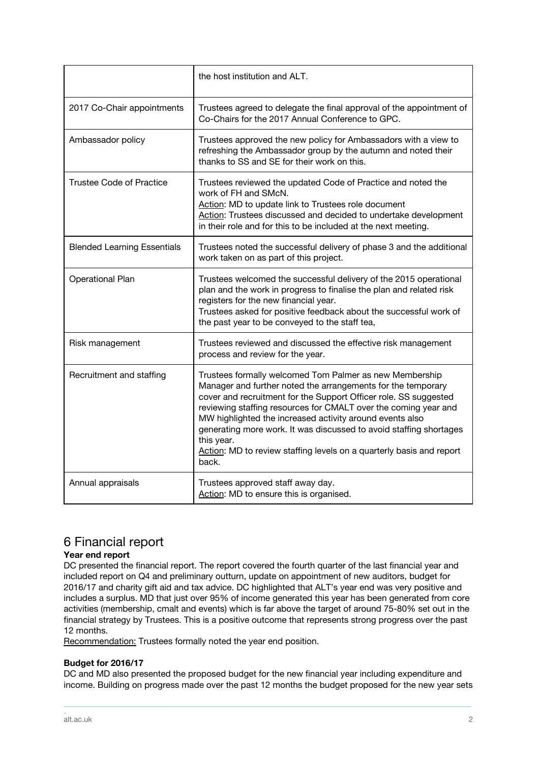|                                    | the host institution and ALT.                                                                                                                                                                                                                                                                                                                                                                                                                                                                   |
|------------------------------------|-------------------------------------------------------------------------------------------------------------------------------------------------------------------------------------------------------------------------------------------------------------------------------------------------------------------------------------------------------------------------------------------------------------------------------------------------------------------------------------------------|
| 2017 Co-Chair appointments         | Trustees agreed to delegate the final approval of the appointment of<br>Co-Chairs for the 2017 Annual Conference to GPC.                                                                                                                                                                                                                                                                                                                                                                        |
| Ambassador policy                  | Trustees approved the new policy for Ambassadors with a view to<br>refreshing the Ambassador group by the autumn and noted their<br>thanks to SS and SE for their work on this.                                                                                                                                                                                                                                                                                                                 |
| <b>Trustee Code of Practice</b>    | Trustees reviewed the updated Code of Practice and noted the<br>work of FH and SMcN.<br>Action: MD to update link to Trustees role document<br>Action: Trustees discussed and decided to undertake development<br>in their role and for this to be included at the next meeting.                                                                                                                                                                                                                |
| <b>Blended Learning Essentials</b> | Trustees noted the successful delivery of phase 3 and the additional<br>work taken on as part of this project.                                                                                                                                                                                                                                                                                                                                                                                  |
| <b>Operational Plan</b>            | Trustees welcomed the successful delivery of the 2015 operational<br>plan and the work in progress to finalise the plan and related risk<br>registers for the new financial year.<br>Trustees asked for positive feedback about the successful work of<br>the past year to be conveyed to the staff tea,                                                                                                                                                                                        |
| Risk management                    | Trustees reviewed and discussed the effective risk management<br>process and review for the year.                                                                                                                                                                                                                                                                                                                                                                                               |
| Recruitment and staffing           | Trustees formally welcomed Tom Palmer as new Membership<br>Manager and further noted the arrangements for the temporary<br>cover and recruitment for the Support Officer role. SS suggested<br>reviewing staffing resources for CMALT over the coming year and<br>MW highlighted the increased activity around events also<br>generating more work. It was discussed to avoid staffing shortages<br>this year.<br>Action: MD to review staffing levels on a quarterly basis and report<br>back. |
| Annual appraisals                  | Trustees approved staff away day.<br>Action: MD to ensure this is organised.                                                                                                                                                                                                                                                                                                                                                                                                                    |

# 6 Financial report

#### **Year end report**

DC presented the financial report. The report covered the fourth quarter of the last financial year and included report on Q4 and preliminary outturn, update on appointment of new auditors, budget for 2016/17 and charity gift aid and tax advice. DC highlighted that ALT's year end was very positive and includes a surplus. MD that just over 95% of income generated this year has been generated from core activities (membership, cmalt and events) which is far above the target of around 75-80% set out in the financial strategy by Trustees. This is a positive outcome that represents strong progress over the past 12 months.

Recommendation: Trustees formally noted the year end position.

#### **Budget for 2016/17**

DC and MD also presented the proposed budget for the new financial year including expenditure and income. Building on progress made over the past 12 months the budget proposed for the new year sets

\_\_\_\_\_\_\_\_\_\_\_\_\_\_\_\_\_\_\_\_\_\_\_\_\_\_\_\_\_\_\_\_\_\_\_\_\_\_\_\_\_\_\_\_\_\_\_\_\_\_\_\_\_\_\_\_\_\_\_\_\_\_\_\_\_\_\_\_\_\_\_\_\_\_\_\_\_\_\_\_\_\_\_\_\_\_\_\_\_\_\_\_\_\_\_\_\_\_\_\_\_\_\_\_\_\_\_\_\_\_\_\_\_\_\_\_\_\_\_\_\_\_\_\_\_\_\_\_\_\_\_\_\_\_\_\_\_\_\_\_\_\_\_\_\_\_\_\_\_\_

\_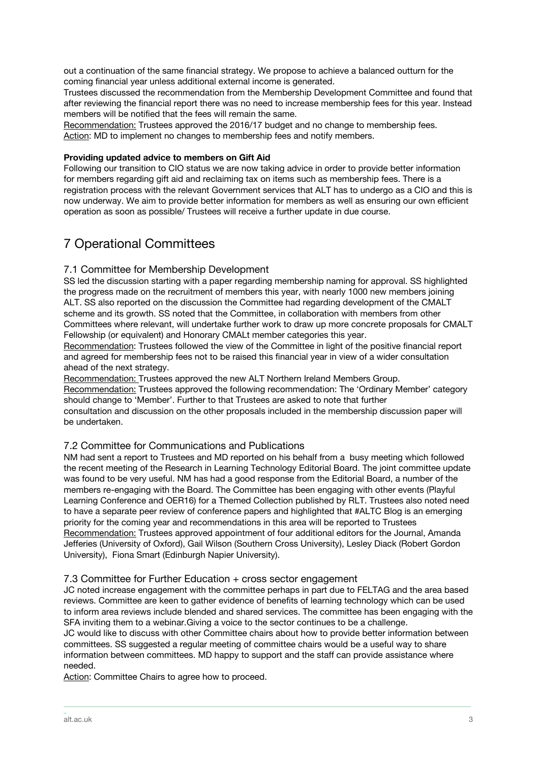out a continuation of the same financial strategy. We propose to achieve a balanced outturn for the coming financial year unless additional external income is generated.

Trustees discussed the recommendation from the Membership Development Committee and found that after reviewing the financial report there was no need to increase membership fees for this year. Instead members will be notified that the fees will remain the same.

Recommendation: Trustees approved the 2016/17 budget and no change to membership fees. Action: MD to implement no changes to membership fees and notify members.

#### **Providing updated advice to members on Gift Aid**

Following our transition to CIO status we are now taking advice in order to provide better information for members regarding gift aid and reclaiming tax on items such as membership fees. There is a registration process with the relevant Government services that ALT has to undergo as a CIO and this is now underway. We aim to provide better information for members as well as ensuring our own efficient operation as soon as possible/ Trustees will receive a further update in due course.

# 7 Operational Committees

#### 7.1 Committee for Membership Development

SS led the discussion starting with a paper regarding membership naming for approval. SS highlighted the progress made on the recruitment of members this year, with nearly 1000 new members joining ALT. SS also reported on the discussion the Committee had regarding development of the CMALT scheme and its growth. SS noted that the Committee, in collaboration with members from other Committees where relevant, will undertake further work to draw up more concrete proposals for CMALT Fellowship (or equivalent) and Honorary CMALt member categories this year.

Recommendation: Trustees followed the view of the Committee in light of the positive financial report and agreed for membership fees not to be raised this financial year in view of a wider consultation ahead of the next strategy.

Recommendation: Trustees approved the new ALT Northern Ireland Members Group. Recommendation: Trustees approved the following recommendation: The 'Ordinary Member' category should change to 'Member'. Further to that Trustees are asked to note that further consultation and discussion on the other proposals included in the membership discussion paper will be undertaken.

#### 7.2 Committee for Communications and Publications

NM had sent a report to Trustees and MD reported on his behalf from a busy meeting which followed the recent meeting of the Research in Learning Technology Editorial Board. The joint committee update was found to be very useful. NM has had a good response from the Editorial Board, a number of the members re-engaging with the Board. The Committee has been engaging with other events (Playful Learning Conference and OER16) for a Themed Collection published by RLT. Trustees also noted need to have a separate peer review of conference papers and highlighted that #ALTC Blog is an emerging priority for the coming year and recommendations in this area will be reported to Trustees Recommendation: Trustees approved appointment of four additional editors for the Journal, Amanda Jefferies (University of Oxford), Gail Wilson (Southern Cross University), Lesley Diack (Robert Gordon University), Fiona Smart (Edinburgh Napier University).

#### 7.3 Committee for Further Education + cross sector engagement

JC noted increase engagement with the committee perhaps in part due to FELTAG and the area based reviews. Committee are keen to gather evidence of benefits of learning technology which can be used to inform area reviews include blended and shared services. The committee has been engaging with the SFA inviting them to a webinar.Giving a voice to the sector continues to be a challenge.

JC would like to discuss with other Committee chairs about how to provide better information between committees. SS suggested a regular meeting of committee chairs would be a useful way to share information between committees. MD happy to support and the staff can provide assistance where needed.

\_\_\_\_\_\_\_\_\_\_\_\_\_\_\_\_\_\_\_\_\_\_\_\_\_\_\_\_\_\_\_\_\_\_\_\_\_\_\_\_\_\_\_\_\_\_\_\_\_\_\_\_\_\_\_\_\_\_\_\_\_\_\_\_\_\_\_\_\_\_\_\_\_\_\_\_\_\_\_\_\_\_\_\_\_\_\_\_\_\_\_\_\_\_\_\_\_\_\_\_\_\_\_\_\_\_\_\_\_\_\_\_\_\_\_\_\_\_\_\_\_\_\_\_\_\_\_\_\_\_\_\_\_\_\_\_\_\_\_\_\_\_\_\_\_\_\_\_\_\_

Action: Committee Chairs to agree how to proceed.

\_